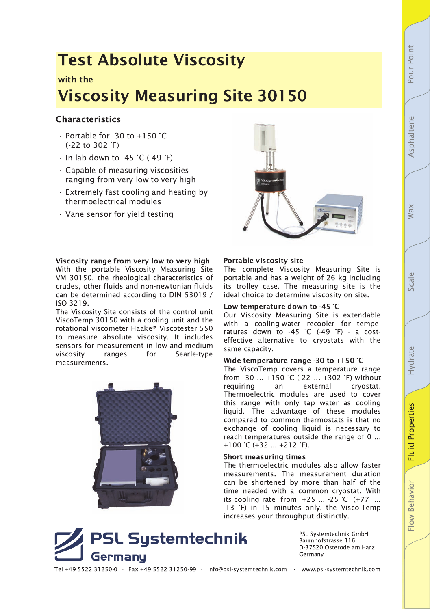# **Fluid Properties** Flow Behavior

## **Test Absolute Viscosity**

### with the **Viscosity Measuring Site 30150**

#### **Characteristics**

- · Portable for -30 to +150 °C  $(-22$  to 302  $°F)$
- $\cdot$  In lab down to -45 °C (-49 °F)
- · Capable of measuring viscosities ranging from very low to very high
- . Extremely fast cooling and heating by thermoelectrical modules
- · Vane sensor for yield testing



#### Viscosity range from very low to very high

With the portable Viscosity Measuring Site VM 30150, the rheological characteristics of crudes, other fluids and non-newtonian fluids can be determined according to DIN 53019 / ISO 3219.

The Viscosity Site consists of the control unit ViscoTemp 30150 with a cooling unit and the rotational viscometer Haake® Viscotester 550 to measure absolute viscosity. It includes sensors for measurement in low and medium viscositv ranges for Searle-type measurements.



#### Portable viscosity site

The complete Viscosity Measuring Site is portable and has a weight of 26 kg including its trolley case. The measuring site is the ideal choice to determine viscosity on site.

#### Low temperature down to -45 °C

Our Viscosity Measuring Site is extendable with a cooling-water recooler for temperatures down to -45 °C (-49 °F) - a costeffective alternative to cryostats with the same capacity.

#### Wide temperature range -30 to +150  $^{\circ}$ C

The ViscoTemp covers a temperature range from -30 ... +150 °C (-22 ... +302 °F) without requiring an external crvostat. Thermoelectric modules are used to cover this range with only tap water as cooling liquid. The advantage of these modules compared to common thermostats is that no exchange of cooling liquid is necessary to reach temperatures outside the range of 0 ... +100 °C (+32 ... +212 °F).

#### **Short measuring times**

The thermoelectric modules also allow faster measurements. The measurement duration can be shortened by more than half of the time needed with a common cryostat. With its cooling rate from +25 ... -25 °C (+77 ... -13 °F) in 15 minutes only, the Visco-Temp increases your throughput distinctly.



PSL Systemtechnik GmbH Baumhofstrasse 116 D-37520 Osterode am Harz Germany

Tel +49 5522 31250-0 · Fax +49 5522 31250-99 · info@psl-systemtechnik.com · www.psl-systemtechnik.com